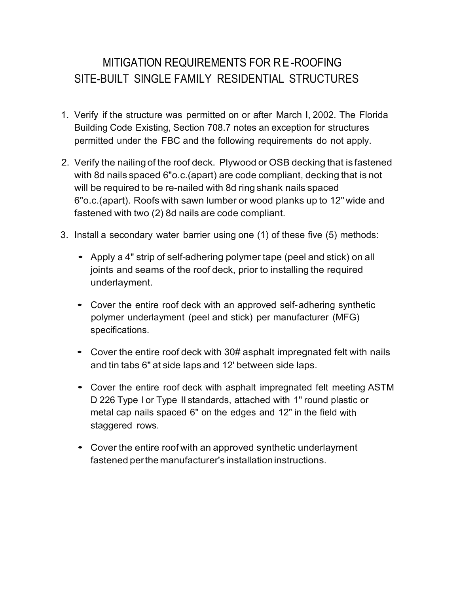## MITIGATION REQUIREMENTS FOR R E-ROOFING SITE-BUILT SINGLE FAMILY RESIDENTIAL STRUCTURES

- 1. Verify if the structure was permitted on or after March I, 2002. The Florida Building Code Existing, Section 708.7 notes an exception for structures permitted under the FBC and the following requirements do not apply.
- 2. Verify the nailing of the roof deck. Plywood or OSB decking that is fastened with 8d nails spaced 6"o.c.(apart) are code compliant, decking that is not will be required to be re-nailed with 8d ring shank nails spaced 6"o.c.(apart). Roofs with sawn lumber or wood planks up to 12" wide and fastened with two (2) 8d nails are code compliant.
- 3. Install a secondary water barrier using one (1) of these five (5) methods:
	- Apply a 4" strip of self-adhering polymer tape (peel and stick) on all joints and seams of the roof deck, prior to installing the required underlayment.
	- Cover the entire roof deck with an approved self-adhering synthetic polymer underlayment (peel and stick) per manufacturer (MFG) specifications.
	- Cover the entire roof deck with 30# asphalt impregnated felt with nails and tin tabs 6" at side laps and 12' between side laps.
	- Cover the entire roof deck with asphalt impregnated felt meeting ASTM D 226 Type I or Type II standards, attached with 1" round plastic or metal cap nails spaced 6" on the edges and 12" in the field with staggered rows.
	- Cover the entire roof with an approved synthetic underlayment fastened perthe manufacturer's installation instructions.